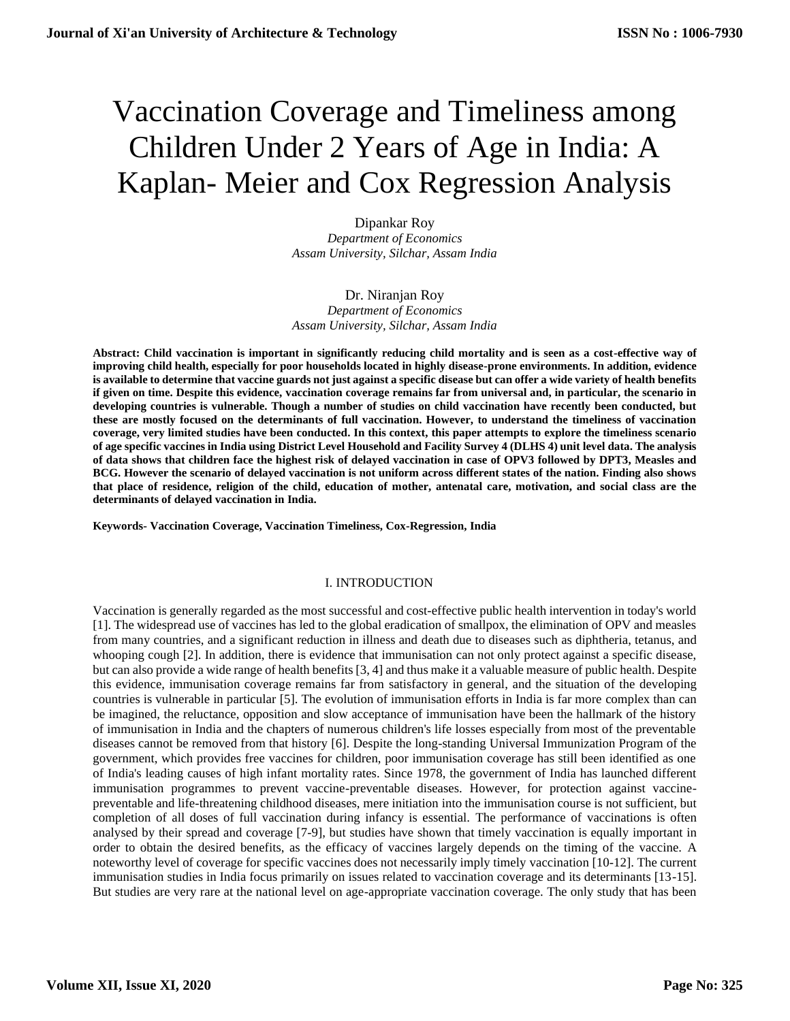# Vaccination Coverage and Timeliness among Children Under 2 Years of Age in India: A Kaplan- Meier and Cox Regression Analysis

Dipankar Roy *Department of Economics Assam University, Silchar, Assam India*

# Dr. Niranjan Roy

*Department of Economics Assam University, Silchar, Assam India*

**Abstract: Child vaccination is important in significantly reducing child mortality and is seen as a cost-effective way of improving child health, especially for poor households located in highly disease-prone environments. In addition, evidence is available to determine that vaccine guards not just against a specific disease but can offer a wide variety of health benefits if given on time. Despite this evidence, vaccination coverage remains far from universal and, in particular, the scenario in developing countries is vulnerable. Though a number of studies on child vaccination have recently been conducted, but these are mostly focused on the determinants of full vaccination. However, to understand the timeliness of vaccination coverage, very limited studies have been conducted. In this context, this paper attempts to explore the timeliness scenario of age specific vaccines in India using District Level Household and Facility Survey 4 (DLHS 4) unit level data. The analysis of data shows that children face the highest risk of delayed vaccination in case of OPV3 followed by DPT3, Measles and BCG. However the scenario of delayed vaccination is not uniform across different states of the nation. Finding also shows that place of residence, religion of the child, education of mother, antenatal care, motivation, and social class are the determinants of delayed vaccination in India.**

**Keywords- Vaccination Coverage, Vaccination Timeliness, Cox-Regression, India**

## I. INTRODUCTION

Vaccination is generally regarded as the most successful and cost-effective public health intervention in today's world [1]. The widespread use of vaccines has led to the global eradication of smallpox, the elimination of OPV and measles from many countries, and a significant reduction in illness and death due to diseases such as diphtheria, tetanus, and whooping cough [2]. In addition, there is evidence that immunisation can not only protect against a specific disease, but can also provide a wide range of health benefits [3, 4] and thus make it a valuable measure of public health. Despite this evidence, immunisation coverage remains far from satisfactory in general, and the situation of the developing countries is vulnerable in particular [5]. The evolution of immunisation efforts in India is far more complex than can be imagined, the reluctance, opposition and slow acceptance of immunisation have been the hallmark of the history of immunisation in India and the chapters of numerous children's life losses especially from most of the preventable diseases cannot be removed from that history [6]. Despite the long-standing Universal Immunization Program of the government, which provides free vaccines for children, poor immunisation coverage has still been identified as one of India's leading causes of high infant mortality rates. Since 1978, the government of India has launched different immunisation programmes to prevent vaccine-preventable diseases. However, for protection against vaccinepreventable and life-threatening childhood diseases, mere initiation into the immunisation course is not sufficient, but completion of all doses of full vaccination during infancy is essential. The performance of vaccinations is often analysed by their spread and coverage [7-9], but studies have shown that timely vaccination is equally important in order to obtain the desired benefits, as the efficacy of vaccines largely depends on the timing of the vaccine. A noteworthy level of coverage for specific vaccines does not necessarily imply timely vaccination [10-12]. The current immunisation studies in India focus primarily on issues related to vaccination coverage and its determinants [13-15]. But studies are very rare at the national level on age-appropriate vaccination coverage. The only study that has been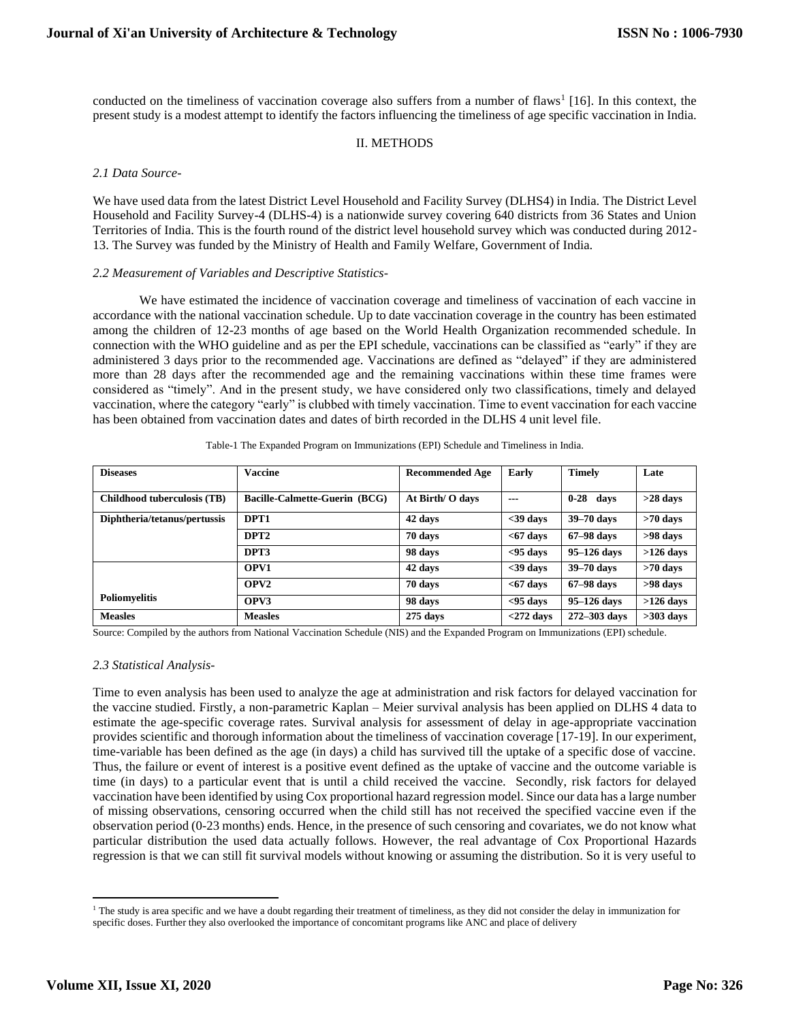conducted on the timeliness of vaccination coverage also suffers from a number of flaws<sup>1</sup> [16]. In this context, the present study is a modest attempt to identify the factors influencing the timeliness of age specific vaccination in India.

# II. METHODS

# *2.1 Data Source-*

We have used data from the latest District Level Household and Facility Survey (DLHS4) in India. The District Level Household and Facility Survey-4 (DLHS-4) is a nationwide survey covering 640 districts from 36 States and Union Territories of India. This is the fourth round of the district level household survey which was conducted during 2012- 13. The Survey was funded by the Ministry of Health and Family Welfare, Government of India.

## *2.2 Measurement of Variables and Descriptive Statistics-*

We have estimated the incidence of vaccination coverage and timeliness of vaccination of each vaccine in accordance with the national vaccination schedule. Up to date vaccination coverage in the country has been estimated among the children of 12-23 months of age based on the World Health Organization recommended schedule. In connection with the WHO guideline and as per the EPI schedule, vaccinations can be classified as "early" if they are administered 3 days prior to the recommended age. Vaccinations are defined as "delayed" if they are administered more than 28 days after the recommended age and the remaining vaccinations within these time frames were considered as "timely". And in the present study, we have considered only two classifications, timely and delayed vaccination, where the category "early" is clubbed with timely vaccination. Time to event vaccination for each vaccine has been obtained from vaccination dates and dates of birth recorded in the DLHS 4 unit level file.

| <b>Diseases</b>              | <b>Vaccine</b>                       | <b>Recommended Age</b> | <b>Early</b> | <b>Timely</b>    | Late        |
|------------------------------|--------------------------------------|------------------------|--------------|------------------|-------------|
| Childhood tuberculosis (TB)  | <b>Bacille-Calmette-Guerin (BCG)</b> | At Birth/ O days       | $- - -$      | $0 - 28$<br>davs | $>28$ days  |
| Diphtheria/tetanus/pertussis | DPT1                                 | 42 days                | $<$ 39 days  | 39-70 days       | $>70$ days  |
|                              | DPT <sub>2</sub>                     | 70 days                | $<$ 67 days  | $67-98$ days     | >98 days    |
|                              | DPT3                                 | 98 days                | $95$ days    | $95-126$ days    | $>126$ days |
|                              | OPV <sub>1</sub>                     | 42 days                | $<$ 39 days  | 39-70 days       | $>70$ days  |
|                              | OPV <sub>2</sub>                     | 70 days                | $<$ 67 days  | $67-98$ days     | >98 days    |
| <b>Poliomyelitis</b>         | OPV3                                 | 98 days                | $95$ days    | $95-126$ days    | $>126$ days |
| <b>Measles</b>               | <b>Measles</b>                       | $275$ days             | $<$ 272 days | 272-303 days     | $>303$ days |

Table-1 The Expanded Program on Immunizations (EPI) Schedule and Timeliness in India.

Source: Compiled by the authors from National Vaccination Schedule (NIS) and the Expanded Program on Immunizations (EPI) schedule.

## *2.3 Statistical Analysis-*

Time to even analysis has been used to analyze the age at administration and risk factors for delayed vaccination for the vaccine studied. Firstly, a non-parametric Kaplan – Meier survival analysis has been applied on DLHS 4 data to estimate the age-specific coverage rates. Survival analysis for assessment of delay in age-appropriate vaccination provides scientific and thorough information about the timeliness of vaccination coverage [17-19]. In our experiment, time-variable has been defined as the age (in days) a child has survived till the uptake of a specific dose of vaccine. Thus, the failure or event of interest is a positive event defined as the uptake of vaccine and the outcome variable is time (in days) to a particular event that is until a child received the vaccine. Secondly, risk factors for delayed vaccination have been identified by using Cox proportional hazard regression model. Since our data has a large number of missing observations, censoring occurred when the child still has not received the specified vaccine even if the observation period (0-23 months) ends. Hence, in the presence of such censoring and covariates, we do not know what particular distribution the used data actually follows. However, the real advantage of Cox Proportional Hazards regression is that we can still fit survival models without knowing or assuming the distribution. So it is very useful to

<sup>&</sup>lt;sup>1</sup> The study is area specific and we have a doubt regarding their treatment of timeliness, as they did not consider the delay in immunization for specific doses. Further they also overlooked the importance of concomitant programs like ANC and place of delivery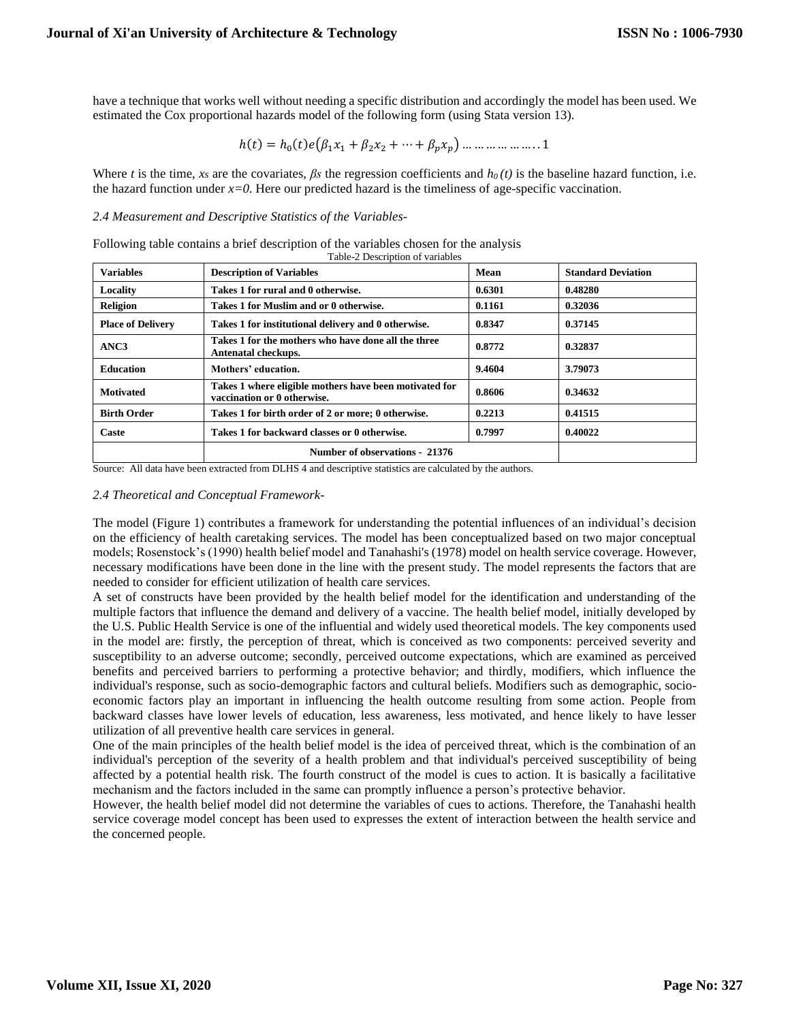have a technique that works well without needing a specific distribution and accordingly the model has been used. We estimated the Cox proportional hazards model of the following form (using Stata version 13).

$$
h(t) = h_0(t)e(\beta_1 x_1 + \beta_2 x_2 + \dots + \beta_p x_p) \dots \dots \dots \dots \dots \dots 1
$$

Where *t* is the time, *xs* are the covariates,  $\beta$ *s* the regression coefficients and  $h_0(t)$  is the baseline hazard function, i.e. the hazard function under *x=0*. Here our predicted hazard is the timeliness of age-specific vaccination.

*2.4 Measurement and Descriptive Statistics of the Variables-*

Following table contains a brief description of the variables chosen for the analysis Table-2 Description of variable

| <b>Variables</b>         | <b>Description of Variables</b>                                                       | Mean   | <b>Standard Deviation</b> |
|--------------------------|---------------------------------------------------------------------------------------|--------|---------------------------|
| Locality                 | Takes 1 for rural and 0 otherwise.                                                    | 0.6301 | 0.48280                   |
| <b>Religion</b>          | Takes 1 for Muslim and or 0 otherwise.                                                | 0.1161 | 0.32036                   |
| <b>Place of Delivery</b> | Takes 1 for institutional delivery and 0 otherwise.                                   | 0.8347 | 0.37145                   |
| ANC3                     | Takes 1 for the mothers who have done all the three<br>Antenatal checkups.            | 0.8772 | 0.32837                   |
| <b>Education</b>         | Mothers' education.                                                                   | 9.4604 | 3.79073                   |
| <b>Motivated</b>         | Takes 1 where eligible mothers have been motivated for<br>vaccination or 0 otherwise. | 0.8606 | 0.34632                   |
| <b>Birth Order</b>       | Takes 1 for birth order of 2 or more; 0 otherwise.                                    | 0.2213 | 0.41515                   |
| Caste                    | Takes 1 for backward classes or 0 otherwise.                                          | 0.7997 | 0.40022                   |
|                          | Number of observations - 21376                                                        |        |                           |

Source: All data have been extracted from DLHS 4 and descriptive statistics are calculated by the authors.

# *2.4 Theoretical and Conceptual Framework-*

The model (Figure 1) contributes a framework for understanding the potential influences of an individual's decision on the efficiency of health caretaking services. The model has been conceptualized based on two major conceptual models; Rosenstock's (1990) health belief model and Tanahashi's (1978) model on health service coverage. However, necessary modifications have been done in the line with the present study. The model represents the factors that are needed to consider for efficient utilization of health care services.

A set of constructs have been provided by the health belief model for the identification and understanding of the multiple factors that influence the demand and delivery of a vaccine. The health belief model, initially developed by the U.S. Public Health Service is one of the influential and widely used theoretical models. The key components used in the model are: firstly, the perception of threat, which is conceived as two components: perceived severity and susceptibility to an adverse outcome; secondly, perceived outcome expectations, which are examined as perceived benefits and perceived barriers to performing a protective behavior; and thirdly, modifiers, which influence the individual's response, such as socio-demographic factors and cultural beliefs. Modifiers such as demographic, socioeconomic factors play an important in influencing the health outcome resulting from some action. People from backward classes have lower levels of education, less awareness, less motivated, and hence likely to have lesser utilization of all preventive health care services in general.

One of the main principles of the health belief model is the idea of perceived threat, which is the combination of an individual's perception of the severity of a health problem and that individual's perceived susceptibility of being affected by a potential health risk. The fourth construct of the model is cues to action. It is basically a facilitative mechanism and the factors included in the same can promptly influence a person's protective behavior.

However, the health belief model did not determine the variables of cues to actions. Therefore, the Tanahashi health service coverage model concept has been used to expresses the extent of interaction between the health service and the concerned people.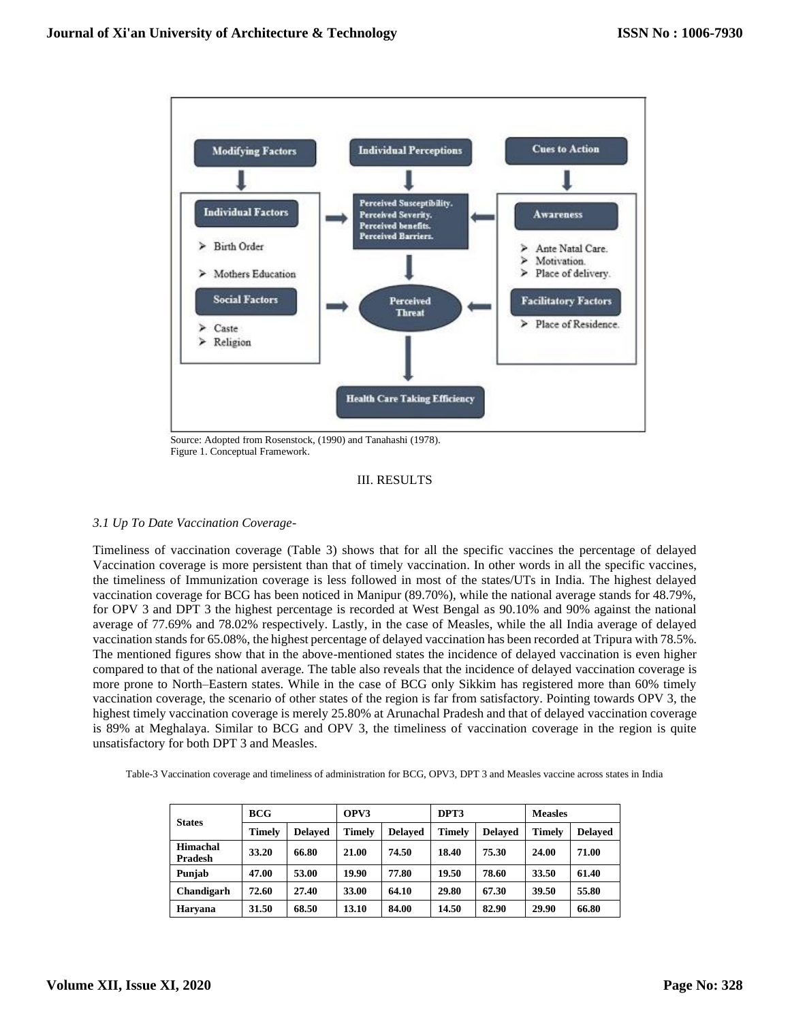

 Source: Adopted from Rosenstock, (1990) and Tanahashi (1978). Figure 1. Conceptual Framework.

## III. RESULTS

# *3.1 Up To Date Vaccination Coverage-*

Timeliness of vaccination coverage (Table 3) shows that for all the specific vaccines the percentage of delayed Vaccination coverage is more persistent than that of timely vaccination. In other words in all the specific vaccines, the timeliness of Immunization coverage is less followed in most of the states/UTs in India. The highest delayed vaccination coverage for BCG has been noticed in Manipur (89.70%), while the national average stands for 48.79%, for OPV 3 and DPT 3 the highest percentage is recorded at West Bengal as 90.10% and 90% against the national average of 77.69% and 78.02% respectively. Lastly, in the case of Measles, while the all India average of delayed vaccination stands for 65.08%, the highest percentage of delayed vaccination has been recorded at Tripura with 78.5%. The mentioned figures show that in the above-mentioned states the incidence of delayed vaccination is even higher compared to that of the national average. The table also reveals that the incidence of delayed vaccination coverage is more prone to North–Eastern states. While in the case of BCG only Sikkim has registered more than 60% timely vaccination coverage, the scenario of other states of the region is far from satisfactory. Pointing towards OPV 3, the highest timely vaccination coverage is merely 25.80% at Arunachal Pradesh and that of delayed vaccination coverage is 89% at Meghalaya. Similar to BCG and OPV 3, the timeliness of vaccination coverage in the region is quite unsatisfactory for both DPT 3 and Measles.

| Table-3 Vaccination coverage and timeliness of administration for BCG, OPV3, DPT 3 and Measles vaccine across states in India |  |
|-------------------------------------------------------------------------------------------------------------------------------|--|
|-------------------------------------------------------------------------------------------------------------------------------|--|

|                     | <b>BCG</b>    |                | OPV3   |                | DPT3          |                | <b>Measles</b> |                |
|---------------------|---------------|----------------|--------|----------------|---------------|----------------|----------------|----------------|
| <b>States</b>       | <b>Timely</b> | <b>Delaved</b> | Timelv | <b>Delaved</b> | <b>Timely</b> | <b>Delaved</b> | Timelv         | <b>Delaved</b> |
| Himachal<br>Pradesh | 33.20         | 66.80          | 21.00  | 74.50          | 18.40         | 75.30          | 24.00          | 71.00          |
| Punjab              | 47.00         | 53.00          | 19.90  | 77.80          | 19.50         | 78.60          | 33.50          | 61.40          |
| Chandigarh          | 72.60         | 27.40          | 33.00  | 64.10          | 29.80         | 67.30          | 39.50          | 55.80          |
| Harvana             | 31.50         | 68.50          | 13.10  | 84.00          | 14.50         | 82.90          | 29.90          | 66.80          |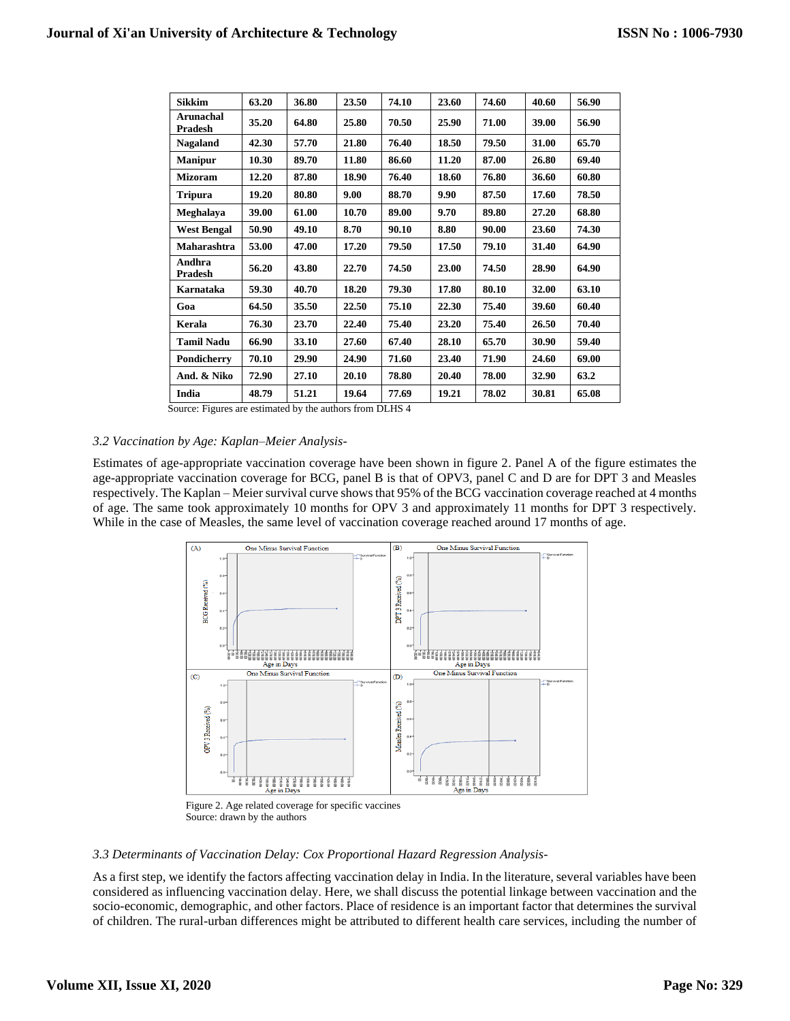| <b>Sikkim</b>               | 63.20 | 36.80 | 23.50 | 74.10 | 23.60 | 74.60 | 40.60 | 56.90 |
|-----------------------------|-------|-------|-------|-------|-------|-------|-------|-------|
| <b>Arunachal</b><br>Pradesh | 35.20 | 64.80 | 25.80 | 70.50 | 25.90 | 71.00 | 39.00 | 56.90 |
| <b>Nagaland</b>             | 42.30 | 57.70 | 21.80 | 76.40 | 18.50 | 79.50 | 31.00 | 65.70 |
| <b>Manipur</b>              | 10.30 | 89.70 | 11.80 | 86.60 | 11.20 | 87.00 | 26.80 | 69.40 |
| <b>Mizoram</b>              | 12.20 | 87.80 | 18.90 | 76.40 | 18.60 | 76.80 | 36.60 | 60.80 |
| <b>Tripura</b>              | 19.20 | 80.80 | 9.00  | 88.70 | 9.90  | 87.50 | 17.60 | 78.50 |
| Meghalaya                   | 39.00 | 61.00 | 10.70 | 89.00 | 9.70  | 89.80 | 27.20 | 68.80 |
| <b>West Bengal</b>          | 50.90 | 49.10 | 8.70  | 90.10 | 8.80  | 90.00 | 23.60 | 74.30 |
| Maharashtra                 | 53.00 | 47.00 | 17.20 | 79.50 | 17.50 | 79.10 | 31.40 | 64.90 |
| Andhra<br>Pradesh           | 56.20 | 43.80 | 22.70 | 74.50 | 23.00 | 74.50 | 28.90 | 64.90 |
| Karnataka                   | 59.30 | 40.70 | 18.20 | 79.30 | 17.80 | 80.10 | 32.00 | 63.10 |
| Goa                         | 64.50 | 35.50 | 22.50 | 75.10 | 22.30 | 75.40 | 39.60 | 60.40 |
| Kerala                      | 76.30 | 23.70 | 22.40 | 75.40 | 23.20 | 75.40 | 26.50 | 70.40 |
| <b>Tamil Nadu</b>           | 66.90 | 33.10 | 27.60 | 67.40 | 28.10 | 65.70 | 30.90 | 59.40 |
| Pondicherry                 | 70.10 | 29.90 | 24.90 | 71.60 | 23.40 | 71.90 | 24.60 | 69.00 |
| And. & Niko                 | 72.90 | 27.10 | 20.10 | 78.80 | 20.40 | 78.00 | 32.90 | 63.2  |
| India                       | 48.79 | 51.21 | 19.64 | 77.69 | 19.21 | 78.02 | 30.81 | 65.08 |

Source: Figures are estimated by the authors from DLHS 4

# *3.2 Vaccination by Age: Kaplan–Meier Analysis-*

Estimates of age-appropriate vaccination coverage have been shown in figure 2. Panel A of the figure estimates the age-appropriate vaccination coverage for BCG, panel B is that of OPV3, panel C and D are for DPT 3 and Measles respectively. The Kaplan – Meier survival curve shows that 95% of the BCG vaccination coverage reached at 4 months of age. The same took approximately 10 months for OPV 3 and approximately 11 months for DPT 3 respectively. While in the case of Measles, the same level of vaccination coverage reached around 17 months of age.



Figure 2. Age related coverage for specific vaccines Source: drawn by the authors

# *3.3 Determinants of Vaccination Delay: Cox Proportional Hazard Regression Analysis-*

As a first step, we identify the factors affecting vaccination delay in India. In the literature, several variables have been considered as influencing vaccination delay. Here, we shall discuss the potential linkage between vaccination and the socio-economic, demographic, and other factors. Place of residence is an important factor that determines the survival of children. The rural-urban differences might be attributed to different health care services, including the number of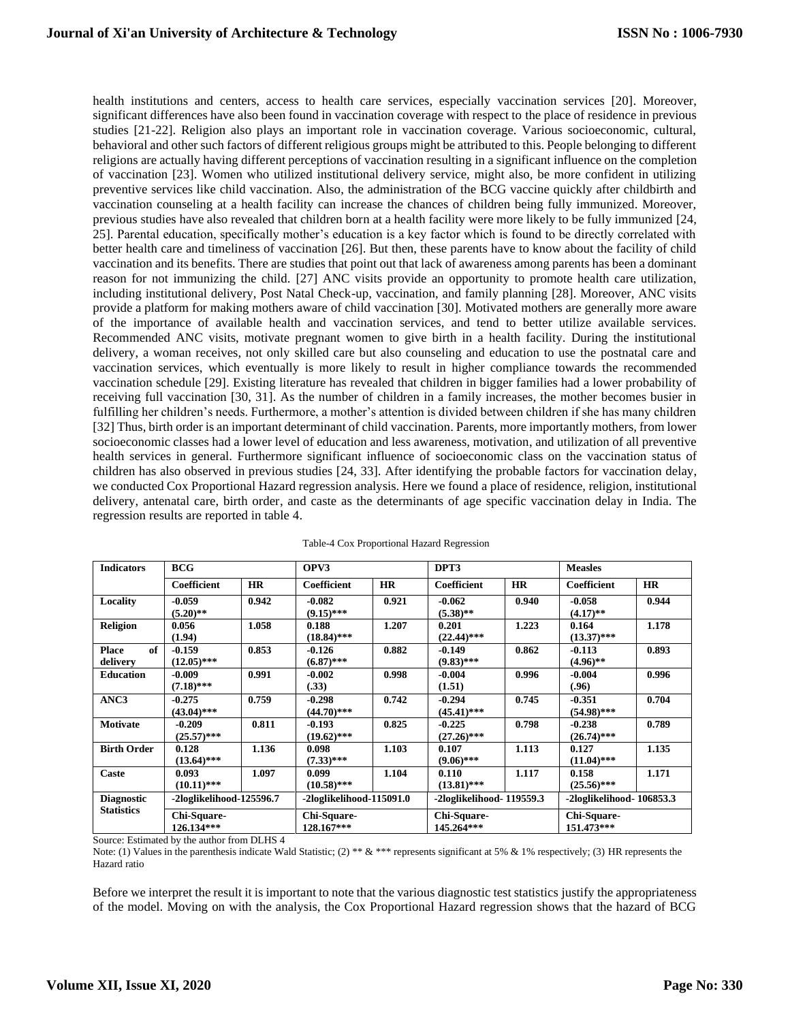health institutions and centers, access to health care services, especially vaccination services [20]. Moreover, significant differences have also been found in vaccination coverage with respect to the place of residence in previous studies [21-22]. Religion also plays an important role in vaccination coverage. Various socioeconomic, cultural, behavioral and other such factors of different religious groups might be attributed to this. People belonging to different religions are actually having different perceptions of vaccination resulting in a significant influence on the completion of vaccination [23]. Women who utilized institutional delivery service, might also, be more confident in utilizing preventive services like child vaccination. Also, the administration of the BCG vaccine quickly after childbirth and vaccination counseling at a health facility can increase the chances of children being fully immunized. Moreover, previous studies have also revealed that children born at a health facility were more likely to be fully immunized [24, 25]. Parental education, specifically mother's education is a key factor which is found to be directly correlated with better health care and timeliness of vaccination [26]. But then, these parents have to know about the facility of child vaccination and its benefits. There are studies that point out that lack of awareness among parents has been a dominant reason for not immunizing the child. [27] ANC visits provide an opportunity to promote health care utilization, including institutional delivery, Post Natal Check-up, vaccination, and family planning [28]. Moreover, ANC visits provide a platform for making mothers aware of child vaccination [30]. Motivated mothers are generally more aware of the importance of available health and vaccination services, and tend to better utilize available services. Recommended ANC visits, motivate pregnant women to give birth in a health facility. During the institutional delivery, a woman receives, not only skilled care but also counseling and education to use the postnatal care and vaccination services, which eventually is more likely to result in higher compliance towards the recommended vaccination schedule [29]. Existing literature has revealed that children in bigger families had a lower probability of receiving full vaccination [30, 31]. As the number of children in a family increases, the mother becomes busier in fulfilling her children's needs. Furthermore, a mother's attention is divided between children if she has many children [32] Thus, birth order is an important determinant of child vaccination. Parents, more importantly mothers, from lower socioeconomic classes had a lower level of education and less awareness, motivation, and utilization of all preventive health services in general. Furthermore significant influence of socioeconomic class on the vaccination status of children has also observed in previous studies [24, 33]. After identifying the probable factors for vaccination delay, we conducted Cox Proportional Hazard regression analysis. Here we found a place of residence, religion, institutional delivery, antenatal care, birth order, and caste as the determinants of age specific vaccination delay in India. The regression results are reported in table 4.

| <b>Indicators</b>  | <b>BCG</b>                |           | OPV3                      |           |                           |           | <b>Measles</b>            |       |
|--------------------|---------------------------|-----------|---------------------------|-----------|---------------------------|-----------|---------------------------|-------|
|                    | Coefficient               | <b>HR</b> | Coefficient               | <b>HR</b> | <b>Coefficient</b>        | <b>HR</b> | Coefficient               | HR    |
| Locality           | $-0.059$                  | 0.942     | $-0.082$                  | 0.921     | $-0.062$                  | 0.940     | $-0.058$                  | 0.944 |
|                    | $(5.20)$ **               |           | $(9.15)$ ***              |           | $(5.38)$ **               |           | $(4.17)$ **               |       |
| <b>Religion</b>    | 0.056                     | 1.058     | 0.188                     | 1.207     | 0.201                     | 1.223     | 0.164                     | 1.178 |
|                    | (1.94)                    |           | $(18.84)$ ***             |           | $(22.44)$ ***             |           | $(13.37)$ ***             |       |
| <b>Place</b><br>of | $-0.159$                  | 0.853     | $-0.126$                  | 0.882     | $-0.149$                  | 0.862     | $-0.113$                  | 0.893 |
| delivery           | $(12.05)$ ***             |           | $(6.87)$ ***              |           | $(9.83)$ ***              |           | $(4.96)$ **               |       |
| <b>Education</b>   | $-0.009$                  | 0.991     | $-0.002$                  | 0.998     | $-0.004$                  | 0.996     | $-0.004$                  | 0.996 |
|                    | $(7.18)$ ***              |           | (.33)                     |           | (1.51)                    |           | (.96)                     |       |
| ANC3               | $-0.275$                  | 0.759     | $-0.298$                  | 0.742     | $-0.294$                  | 0.745     | $-0.351$                  | 0.704 |
|                    | $(43.04)$ ***             |           | $(44.70)$ ***             |           | $(45.41)$ ***             |           | $(54.98)$ ***             |       |
| <b>Motivate</b>    | $-0.209$                  | 0.811     | $-0.193$                  | 0.825     | $-0.225$                  | 0.798     | $-0.238$                  | 0.789 |
|                    | $(25.57)$ ***             |           | $(19.62)$ ***             |           | $(27.26)$ ***             |           | $(26.74)$ ***             |       |
| <b>Birth Order</b> | 0.128                     | 1.136     | 0.098                     | 1.103     | 0.107                     | 1.113     | 0.127                     | 1.135 |
|                    | $(13.64)$ ***             |           | $(7.33)$ ***              |           | $(9.06)$ ***              |           | $(11.04)$ ***             |       |
| Caste              | 0.093                     | 1.097     | 0.099                     | 1.104     | 0.110                     | 1.117     | 0.158                     | 1.171 |
|                    | $(10.11)$ ***             |           | $(10.58)$ ***             |           | $(13.81)$ ***             |           | $(25.56)$ ***             |       |
| <b>Diagnostic</b>  | -2loglikelihood-125596.7  |           | -2loglikelihood-115091.0  |           | -2loglikelihood- 119559.3 |           | -2loglikelihood-106853.3  |       |
| <b>Statistics</b>  | Chi-Square-<br>126.134*** |           | Chi-Square-<br>128.167*** |           | Chi-Square-<br>145.264*** |           | Chi-Square-<br>151.473*** |       |

|  |  | Table-4 Cox Proportional Hazard Regression |
|--|--|--------------------------------------------|
|  |  |                                            |

Source: Estimated by the author from DLHS 4

Note: (1) Values in the parenthesis indicate Wald Statistic; (2) \*\* & \*\*\* represents significant at 5% & 1% respectively; (3) HR represents the Hazard ratio

Before we interpret the result it is important to note that the various diagnostic test statistics justify the appropriateness of the model. Moving on with the analysis, the Cox Proportional Hazard regression shows that the hazard of BCG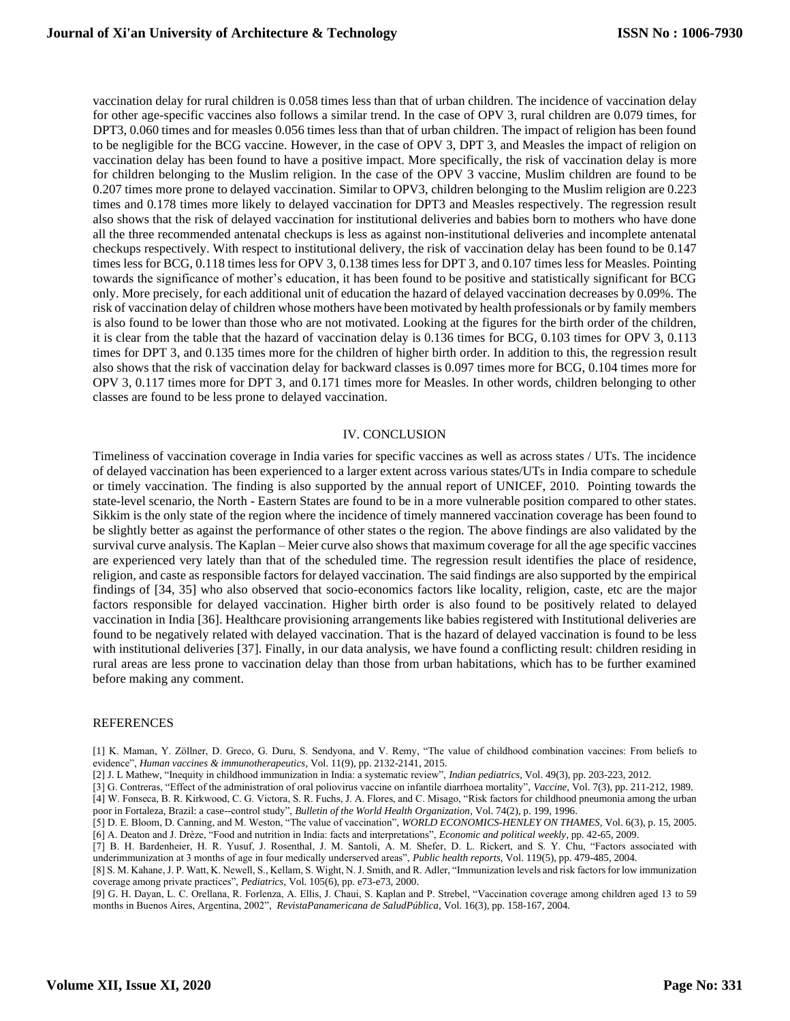vaccination delay for rural children is 0.058 times less than that of urban children. The incidence of vaccination delay for other age-specific vaccines also follows a similar trend. In the case of OPV 3, rural children are 0.079 times, for DPT3, 0.060 times and for measles 0.056 times less than that of urban children. The impact of religion has been found to be negligible for the BCG vaccine. However, in the case of OPV 3, DPT 3, and Measles the impact of religion on vaccination delay has been found to have a positive impact. More specifically, the risk of vaccination delay is more for children belonging to the Muslim religion. In the case of the OPV 3 vaccine, Muslim children are found to be 0.207 times more prone to delayed vaccination. Similar to OPV3, children belonging to the Muslim religion are 0.223 times and 0.178 times more likely to delayed vaccination for DPT3 and Measles respectively. The regression result also shows that the risk of delayed vaccination for institutional deliveries and babies born to mothers who have done all the three recommended antenatal checkups is less as against non-institutional deliveries and incomplete antenatal checkups respectively. With respect to institutional delivery, the risk of vaccination delay has been found to be 0.147 times less for BCG, 0.118 times less for OPV 3, 0.138 times less for DPT 3, and 0.107 times less for Measles. Pointing towards the significance of mother's education, it has been found to be positive and statistically significant for BCG only. More precisely, for each additional unit of education the hazard of delayed vaccination decreases by 0.09%. The risk of vaccination delay of children whose mothers have been motivated by health professionals or by family members is also found to be lower than those who are not motivated. Looking at the figures for the birth order of the children, it is clear from the table that the hazard of vaccination delay is 0.136 times for BCG, 0.103 times for OPV 3, 0.113 times for DPT 3, and 0.135 times more for the children of higher birth order. In addition to this, the regression result also shows that the risk of vaccination delay for backward classes is 0.097 times more for BCG, 0.104 times more for OPV 3, 0.117 times more for DPT 3, and 0.171 times more for Measles. In other words, children belonging to other classes are found to be less prone to delayed vaccination.

#### IV. CONCLUSION

Timeliness of vaccination coverage in India varies for specific vaccines as well as across states / UTs. The incidence of delayed vaccination has been experienced to a larger extent across various states/UTs in India compare to schedule or timely vaccination. The finding is also supported by the annual report of UNICEF, 2010. Pointing towards the state-level scenario, the North - Eastern States are found to be in a more vulnerable position compared to other states. Sikkim is the only state of the region where the incidence of timely mannered vaccination coverage has been found to be slightly better as against the performance of other states o the region. The above findings are also validated by the survival curve analysis. The Kaplan – Meier curve also shows that maximum coverage for all the age specific vaccines are experienced very lately than that of the scheduled time. The regression result identifies the place of residence, religion, and caste as responsible factors for delayed vaccination. The said findings are also supported by the empirical findings of [34, 35] who also observed that socio-economics factors like locality, religion, caste, etc are the major factors responsible for delayed vaccination. Higher birth order is also found to be positively related to delayed vaccination in India [36]. Healthcare provisioning arrangements like babies registered with Institutional deliveries are found to be negatively related with delayed vaccination. That is the hazard of delayed vaccination is found to be less with institutional deliveries [37]. Finally, in our data analysis, we have found a conflicting result: children residing in rural areas are less prone to vaccination delay than those from urban habitations, which has to be further examined before making any comment.

#### **REFERENCES**

[1] K. Maman, Y. Zöllner, D. Greco, G. Duru, S. Sendyona, and V. Remy, "The value of childhood combination vaccines: From beliefs to evidence", *Human vaccines & immunotherapeutics,* Vol. 11(9), pp. 2132-2141, 2015.

[2] J. L Mathew, "Inequity in childhood immunization in India: a systematic review", *Indian pediatrics,* Vol. 49(3), pp. 203-223, 2012.

[3] G. Contreras, "Effect of the administration of oral poliovirus vaccine on infantile diarrhoea mortality", *Vaccine*, Vol. 7(3), pp. 211-212, 1989. [4] W. Fonseca, B. R. Kirkwood, C. G. Victora, S. R. Fuchs, J. A. Flores, and C. Misago, "Risk factors for childhood pneumonia among the urban poor in Fortaleza, Brazil: a case--control study", *Bulletin of the World Health Organization,* Vol. 74(2), p. 199, 1996.

[5] D. E. Bloom, D. Canning, and M. Weston, "The value of vaccination", *WORLD ECONOMICS-HENLEY ON THAMES,* Vol. 6(3), p. 15, 2005. [6] A. Deaton and J. Drèze, "Food and nutrition in India: facts and interpretations", *Economic and political weekly,* pp. 42-65, 2009.

[7] B. H. Bardenheier, H. R. Yusuf, J. Rosenthal, J. M. Santoli, A. M. Shefer, D. L. Rickert, and S. Y. Chu, "Factors associated with underimmunization at 3 months of age in four medically underserved areas", *Public health reports,* Vol. 119(5), pp. 479-485, 2004.

[8] S. M. Kahane, J. P. Watt, K. Newell, S., Kellam, S. Wight, N. J. Smith, and R. Adler, "Immunization levels and risk factors for low immunization coverage among private practices", *Pediatrics*, Vol. 105(6), pp. e73-e73, 2000.

[9] G. H. Dayan, L. C. Orellana, R. Forlenza, A. Ellis, J. Chaui, S. Kaplan and P. Strebel, "Vaccination coverage among children aged 13 to 59 months in Buenos Aires, Argentina, 2002", *RevistaPanamericana de SaludPública,* Vol. 16(3), pp. 158-167, 2004.